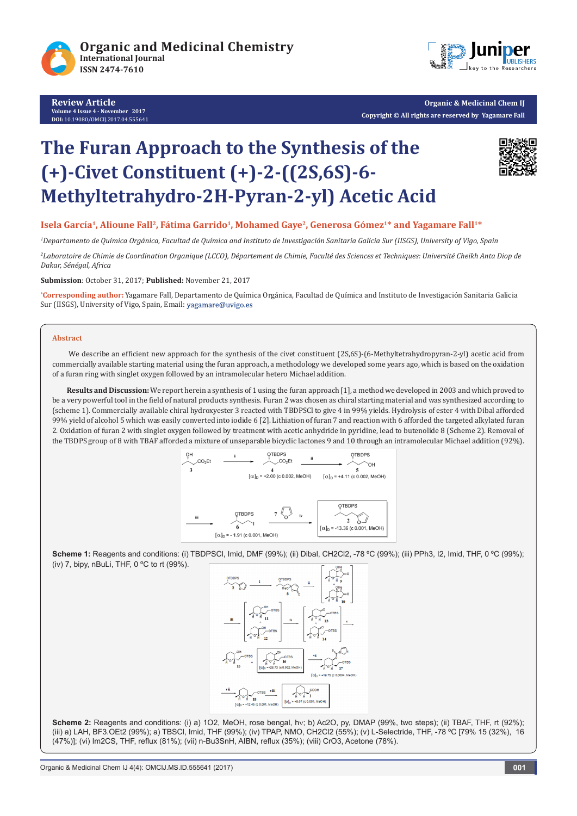

**Review Article Volume 4 Issue 4 - November 2017 DOI:** 10.19080/OMCIJ.2017.04.555641



**Organic & Medicinal Chem IJ Copyright © All rights are reserved by Yagamare Fall**

# **The Furan Approach to the Synthesis of the (+)-Civet Constituent (+)-2-((2S,6S)-6- Methyltetrahydro-2H-Pyran-2-yl) Acetic Acid**



## Isela García<sup>1</sup>, Alioune Fall<sup>2</sup>, Fátima Garrido<sup>1</sup>, Mohamed Gaye<sup>2</sup>, Generosa Gómez<sup>1\*</sup> and Yagamare Fall<sup>1\*</sup>

*1 Departamento de Química Orgánica, Facultad de Química and Instituto de Investigación Sanitaria Galicia Sur (IISGS), University of Vigo, Spain*

*2 Laboratoire de Chimie de Coordination Organique (LCCO), Département de Chimie, Faculté des Sciences et Techniques: Université Cheikh Anta Diop de Dakar, Sénégal, Africa*

**Submission**: October 31, 2017; **Published:** November 21, 2017

**\* Corresponding author:** Yagamare Fall, Departamento de Química Orgánica, Facultad de Química and Instituto de Investigación Sanitaria Galicia Sur (IISGS), University of Vigo, Spain, Email: yagamare@uvigo.es

#### **Abstract**

We describe an efficient new approach for the synthesis of the civet constituent (2S,6S)-(6-Methyltetrahydropyran-2-yl) acetic acid from commercially available starting material using the furan approach, a methodology we developed some years ago, which is based on the oxidation of a furan ring with singlet oxygen followed by an intramolecular hetero Michael addition.

**Results and Discussion:** We report herein a synthesis of 1 using the furan approach [1], a method we developed in 2003 and which proved to be a very powerful tool in the field of natural products synthesis. Furan 2 was chosen as chiral starting material and was synthesized according to (scheme 1). Commercially available chiral hydroxyester 3 reacted with TBDPSCl to give 4 in 99% yields. Hydrolysis of ester 4 with Dibal afforded 99% yield of alcohol 5 which was easily converted into iodide 6 [2]. Lithiation of furan 7 and reaction with 6 afforded the targeted alkylated furan 2. Oxidation of furan 2 with singlet oxygen followed by treatment with acetic anhydride in pyridine, lead to butenolide 8 (Scheme 2). Removal of the TBDPS group of 8 with TBAF afforded a mixture of unseparable bicyclic lactones 9 and 10 through an intramolecular Michael addition (92%).



**Scheme 1:** Reagents and conditions: (i) TBDPSCl, Imid, DMF (99%); (ii) Dibal, CH2Cl2, -78 ºC (99%); (iii) PPh3, I2, Imid, THF, 0 ºC (99%); (iv) 7, bipy, nBuLi, THF, 0 ºC to rt (99%).



Scheme 2: Reagents and conditions: (i) a) 1O2, MeOH, rose bengal, hv; b) Ac2O, py, DMAP (99%, two steps); (ii) TBAF, THF, rt (92%); (iii) a) LAH, BF3.OEt2 (99%); a) TBSCl, Imid, THF (99%); (iv) TPAP, NMO, CH2Cl2 (55%); (v) L-Selectride, THF, -78 ºC [79% 15 (32%), 16 (47%)]; (vi) Im2CS, THF, reflux (81%); (vii) n-Bu3SnH, AIBN, reflux (35%); (viii) CrO3, Acetone (78%).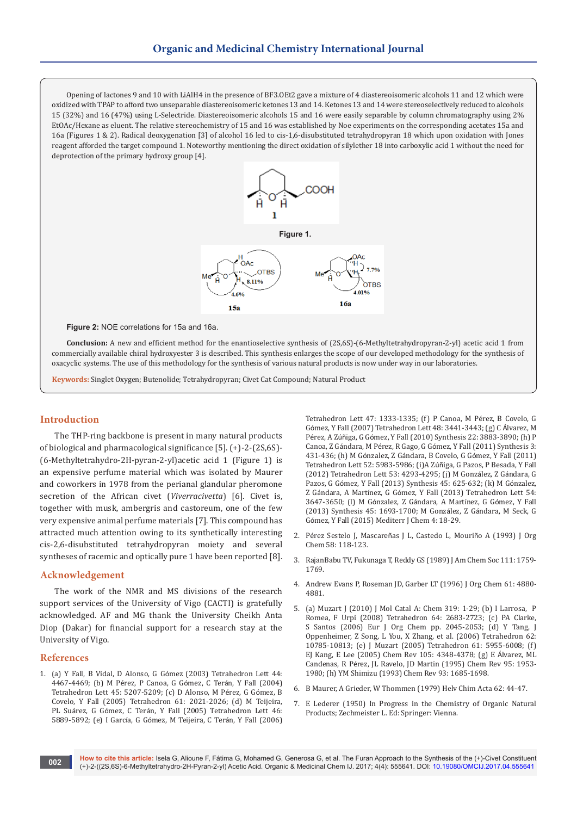Opening of lactones 9 and 10 with LiAlH4 in the presence of BF3.OEt2 gave a mixture of 4 diastereoisomeric alcohols 11 and 12 which were oxidized with TPAP to afford two unseparable diastereoisomeric ketones 13 and 14. Ketones 13 and 14 were stereoselectively reduced to alcohols 15 (32%) and 16 (47%) using L-Selectride. Diastereoisomeric alcohols 15 and 16 were easily separable by column chromatography using 2% EtOAc/Hexane as eluent. The relative stereochemistry of 15 and 16 was established by Noe experiments on the corresponding acetates 15a and 16a (Figures 1 & 2). Radical deoxygenation [3] of alcohol 16 led to cis-1,6-disubstituted tetrahydropyran 18 which upon oxidation with Jones reagent afforded the target compound 1. Noteworthy mentioning the direct oxidation of silylether 18 into carboxylic acid 1 without the need for deprotection of the primary hydroxy group [4].



**Figure 2:** NOE correlations for 15a and 16a.

**Conclusion:** A new and efficient method for the enantioselective synthesis of (2S,6S)-(6-Methyltetrahydropyran-2-yl) acetic acid 1 from commercially available chiral hydroxyester 3 is described. This synthesis enlarges the scope of our developed methodology for the synthesis of oxacyclic systems. The use of this methodology for the synthesis of various natural products is now under way in our laboratories.

**Keywords:** Singlet Oxygen; Butenolide; Tetrahydropyran; Civet Cat Compound; Natural Product

## **Introduction**

The THP-ring backbone is present in many natural products of biological and pharmacological significance [5]. (+)-2-(2S,6S)- (6-Methyltetrahydro-2H-pyran-2-yl)acetic acid 1 (Figure 1) is an expensive perfume material which was isolated by Maurer and coworkers in 1978 from the perianal glandular pheromone secretion of the African civet (*Viverracivetta*) [6]. Civet is, together with musk, ambergris and castoreum, one of the few very expensive animal perfume materials [7]. This compound has attracted much attention owing to its synthetically interesting cis-2,6-disubstituted tetrahydropyran moiety and several syntheses of racemic and optically pure 1 have been reported [8].

#### **Acknowledgement**

The work of the NMR and MS divisions of the research support services of the University of Vigo (CACTI) is gratefully acknowledged. AF and MG thank the University Cheikh Anta Diop (Dakar) for financial support for a research stay at the University of Vigo.

### **References**

1. (a) Y Fall, B Vidal, D Alonso, G Gómez (2003) Tetrahedron Lett 44: 4467-4469; (b) M Pérez, P Canoa, G Gómez, C Terán, Y Fall (2004) Tetrahedron Lett 45: 5207-5209; (c) D Alonso, M Pérez, G Gómez, B Covelo, Y Fall (2005) Tetrahedron 61: 2021-2026; (d) M Teijeira, PL Suárez, G Gómez, C Terán, Y Fall (2005) Tetrahedron Lett 46: 5889-5892; (e) I García, G Gómez, M Teijeira, C Terán, Y Fall (2006)

Tetrahedron Lett 47: 1333-1335; (f) P Canoa, M Pérez, B Covelo, G Gómez, Y Fall (2007) Tetrahedron Lett 48: 3441-3443; (g) C Álvarez, M Pérez, A Zúñiga, G Gómez, Y Fall (2010) Synthesis 22: 3883-3890; (h) P Canoa, Z Gándara, M Pérez, R Gago, G Gómez, Y Fall (2011) Synthesis 3: 431-436; (h) M Gónzalez, Z Gándara, B Covelo, G Gómez, Y Fall (2011) Tetrahedron Lett 52: 5983-5986; (i)A Zúñiga, G Pazos, P Besada, Y Fall (2012) Tetrahedron Lett 53: 4293-4295; (j) M González, Z Gándara, G Pazos, G Gómez, Y Fall (2013) Synthesis 45: 625-632; (k) M Gónzalez, Z Gándara, A Martínez, G Gómez, Y Fall (2013) Tetrahedron Lett 54: 3647-3650; (l) M Gónzalez, Z Gándara, A Martínez, G Gómez, Y Fall (2013) Synthesis 45: 1693-1700; M González, Z Gándara, M Seck, G Gómez, Y Fall (2015) Mediterr J Chem 4: 18-29.

- 2. Pérez Sestelo J, Mascareñas J L, Castedo L, Mouriño A (1993) J Org Chem 58: 118-123.
- 3. RajanBabu TV, Fukunaga T, Reddy GS (1989) J Am Chem Soc 111: 1759- 1769.
- 4. Andrew Evans P, Roseman JD, Garber LT (1996) J Org Chem 61: 4880- 4881.
- 5. (a) [Muzart J \(2010\) J Mol Catal A: Chem 319: 1-29;](http://www.academia.edu/24677200/Pd0-_and_PdII-catalyzed_oxaheterocyclization_of_substrates_having_both_an_allylic_leaving_group_and_a_hydroxylated_tether) (b) I Larrosa, P Romea, F Urpi (2008) Tetrahedron 64: 2683-2723; (c) PA Clarke, S Santos (2006) Eur J Org Chem pp. 2045-2053; (d) Y Tang, J Oppenheimer, Z Song, L You, X Zhang, et al. (2006) Tetrahedron 62: 10785-10813; (e) J Muzart (2005) Tetrahedron 61: 5955-6008; (f) EJ Kang, E Lee (2005) Chem Rev 105: 4348-4378; (g) E Álvarez, ML Candenas, R Pérez, JL Ravelo, JD Martin (1995) Chem Rev 95: 1953- 1980; (h) YM Shimizu (1993) Chem Rev 93: 1685-1698.
- 6. B Maurer, A Grieder, W Thommen (1979) Helv Chim Acta 62: 44-47.
- 7. [E Lederer \(1950\) In Progress in the Chemistry of Organic Natural](http://www.springer.com/in/book/9783709174562)  [Products; Zechmeister L. Ed: Springer: Vienna.](http://www.springer.com/in/book/9783709174562)